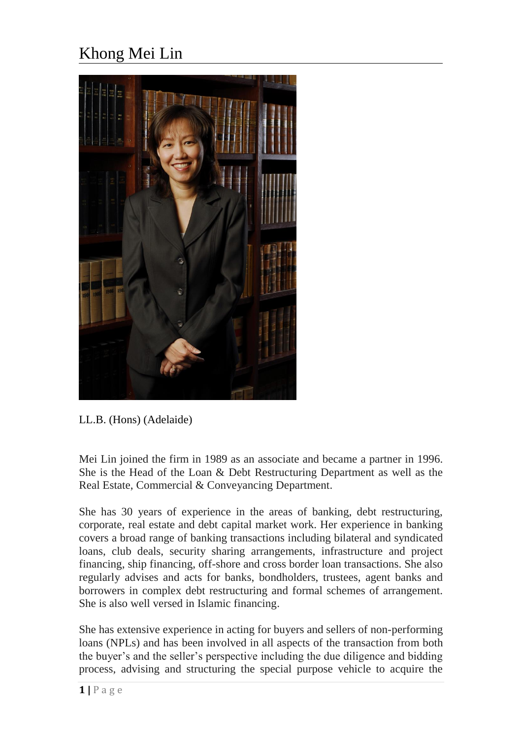## Khong Mei Lin



LL.B. (Hons) (Adelaide)

Mei Lin joined the firm in 1989 as an associate and became a partner in 1996. She is the Head of the Loan & Debt Restructuring Department as well as the Real Estate, Commercial & Conveyancing Department.

She has 30 years of experience in the areas of banking, debt restructuring, corporate, real estate and debt capital market work. Her experience in banking covers a broad range of banking transactions including bilateral and syndicated loans, club deals, security sharing arrangements, infrastructure and project financing, ship financing, off-shore and cross border loan transactions. She also regularly advises and acts for banks, bondholders, trustees, agent banks and borrowers in complex debt restructuring and formal schemes of arrangement. She is also well versed in Islamic financing.

She has extensive experience in acting for buyers and sellers of non-performing loans (NPLs) and has been involved in all aspects of the transaction from both the buyer's and the seller's perspective including the due diligence and bidding process, advising and structuring the special purpose vehicle to acquire the